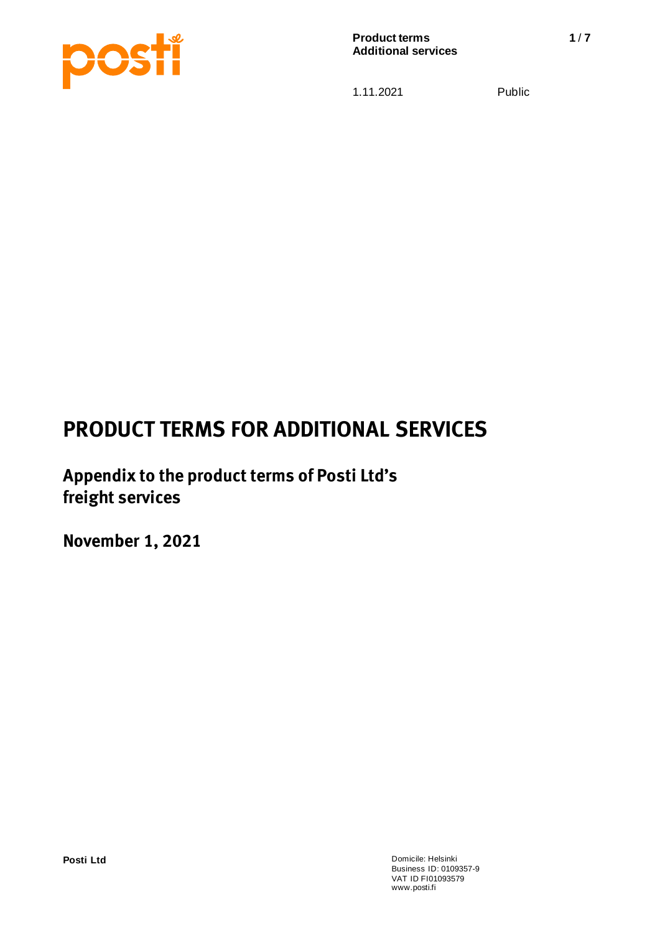

# *PRODUCT TERMS FOR ADDITIONAL SERVICES*

*Appendix to the product terms of Posti Ltd's freight services* 

*November 1, 2021*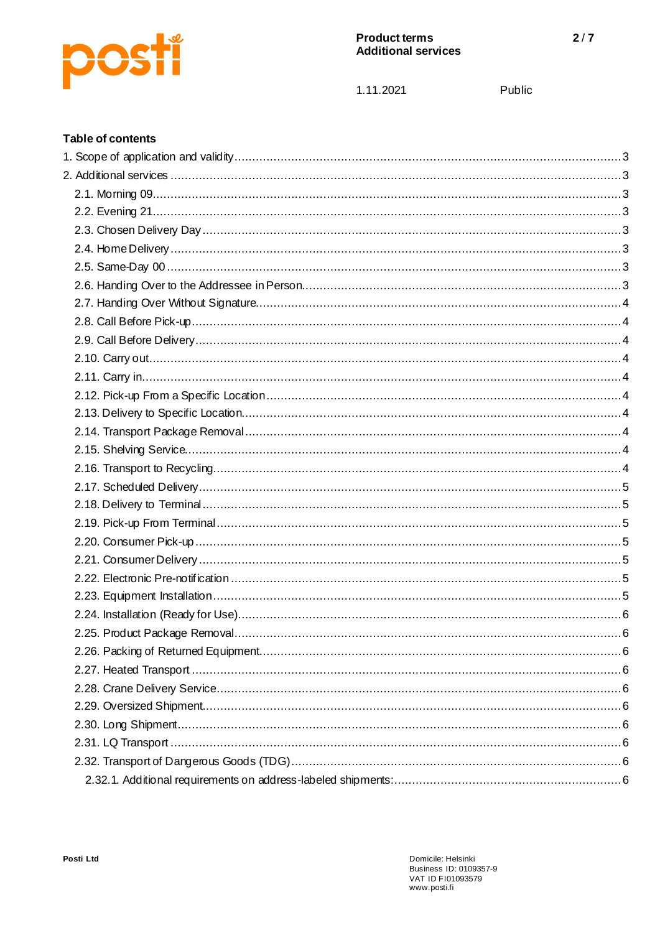

1.11.2021

Public

#### **Table of contents**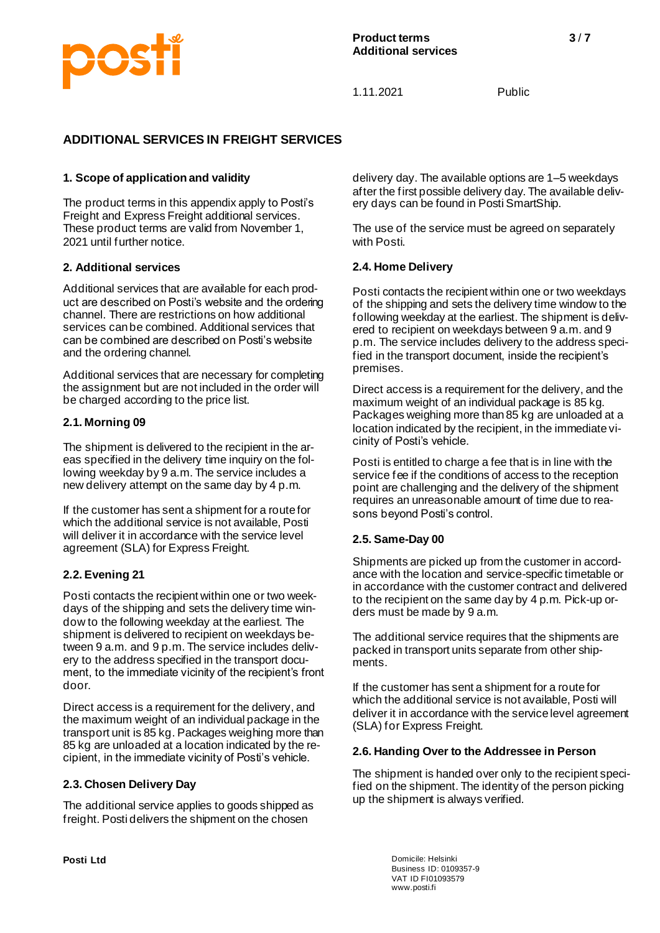

# **ADDITIONAL SERVICES IN FREIGHT SERVICES**

#### **1. Scope of application and validity**

The product terms in this appendix apply to Posti's Freight and Express Freight additional services. These product terms are valid from November 1, 2021 until further notice.

#### **2. Additional services**

Additional services that are available for each product are described on Posti's website and the ordering channel. There are restrictions on how additional services can be combined. Additional services that can be combined are described on Posti's website and the ordering channel.

Additional services that are necessary for completing the assignment but are not included in the order will be charged according to the price list.

#### **2.1. Morning 09**

The shipment is delivered to the recipient in the areas specified in the delivery time inquiry on the following weekday by 9 a.m. The service includes a new delivery attempt on the same day by 4 p.m.

If the customer has sent a shipment for a route for which the additional service is not available, Posti will deliver it in accordance with the service level agreement (SLA) for Express Freight.

#### **2.2. Evening 21**

Posti contacts the recipient within one or two weekdays of the shipping and sets the delivery time window to the following weekday at the earliest. The shipment is delivered to recipient on weekdays between 9 a.m. and 9 p.m. The service includes delivery to the address specified in the transport document, to the immediate vicinity of the recipient's front door.

Direct access is a requirement for the delivery, and the maximum weight of an individual package in the transport unit is 85 kg. Packages weighing more than 85 kg are unloaded at a location indicated by the recipient, in the immediate vicinity of Posti's vehicle.

#### **2.3. Chosen Delivery Day**

The additional service applies to goods shipped as freight. Posti delivers the shipment on the chosen

delivery day. The available options are 1–5 weekdays after the first possible delivery day. The available delivery days can be found in Posti SmartShip.

The use of the service must be agreed on separately with Posti.

#### **2.4. Home Delivery**

Posti contacts the recipient within one or two weekdays of the shipping and sets the delivery time window to the following weekday at the earliest. The shipment is delivered to recipient on weekdays between 9 a.m. and 9 p.m. The service includes delivery to the address specified in the transport document, inside the recipient's premises.

Direct access is a requirement for the delivery, and the maximum weight of an individual package is 85 kg. Packages weighing more than 85 kg are unloaded at a location indicated by the recipient, in the immediate vicinity of Posti's vehicle.

Posti is entitled to charge a fee that is in line with the service fee if the conditions of access to the reception point are challenging and the delivery of the shipment requires an unreasonable amount of time due to reasons beyond Posti's control.

#### **2.5. Same-Day 00**

Shipments are picked up from the customer in accordance with the location and service-specific timetable or in accordance with the customer contract and delivered to the recipient on the same day by 4 p.m. Pick-up orders must be made by 9 a.m.

The additional service requires that the shipments are packed in transport units separate from other shipments.

If the customer has sent a shipment for a route for which the additional service is not available, Posti will deliver it in accordance with the service level agreement (SLA) for Express Freight.

#### **2.6. Handing Over to the Addressee in Person**

The shipment is handed over only to the recipient specified on the shipment. The identity of the person picking up the shipment is always verified.

**Posti Ltd** Domicile: Helsinki Business ID: 0109357-9 VAT ID FI01093579 www.posti.fi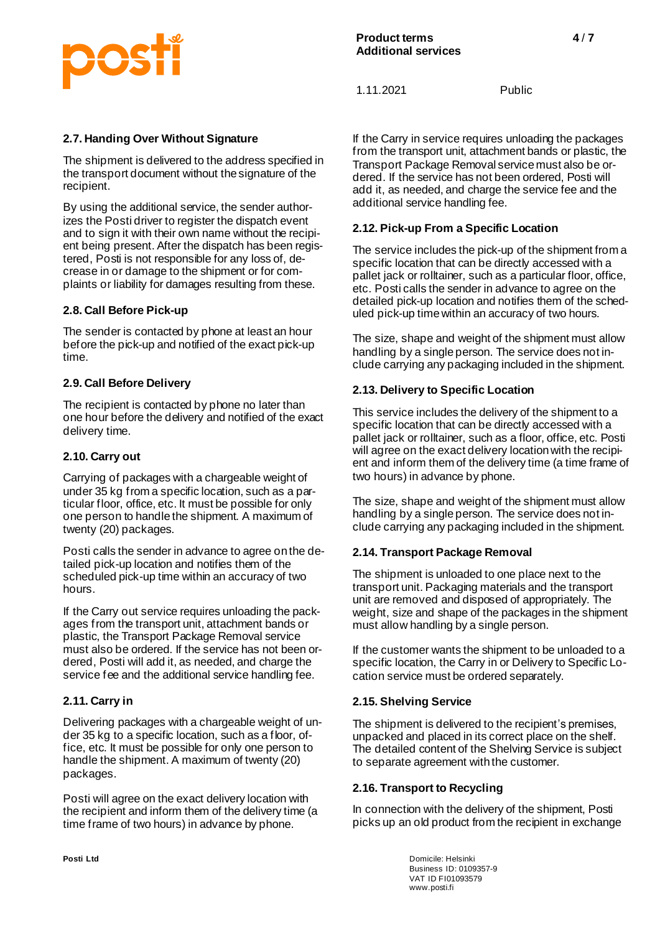# **DOS**

1.11.2021 Public

#### **2.7. Handing Over Without Signature**

The shipment is delivered to the address specified in the transport document without the signature of the recipient.

By using the additional service, the sender authorizes the Posti driver to register the dispatch event and to sign it with their own name without the recipient being present. After the dispatch has been registered, Posti is not responsible for any loss of, decrease in or damage to the shipment or for complaints or liability for damages resulting from these.

#### **2.8. Call Before Pick-up**

The sender is contacted by phone at least an hour before the pick-up and notified of the exact pick-up time.

#### **2.9. Call Before Delivery**

The recipient is contacted by phone no later than one hour before the delivery and notified of the exact delivery time.

#### **2.10. Carry out**

Carrying of packages with a chargeable weight of under 35 kg from a specific location, such as a particular floor, office, etc. It must be possible for only one person to handle the shipment. A maximum of twenty (20) packages.

Posti calls the sender in advance to agree on the detailed pick-up location and notifies them of the scheduled pick-up time within an accuracy of two hours.

If the Carry out service requires unloading the packages from the transport unit, attachment bands or plastic, the Transport Package Removal service must also be ordered. If the service has not been ordered, Posti will add it, as needed, and charge the service fee and the additional service handling fee.

# **2.11. Carry in**

Delivering packages with a chargeable weight of under 35 kg to a specific location, such as a floor, office, etc. It must be possible for only one person to handle the shipment. A maximum of twenty (20) packages.

Posti will agree on the exact delivery location with the recipient and inform them of the delivery time (a time frame of two hours) in advance by phone.

If the Carry in service requires unloading the packages from the transport unit, attachment bands or plastic, the Transport Package Removal service must also be ordered. If the service has not been ordered, Posti will add it, as needed, and charge the service fee and the additional service handling fee.

#### **2.12. Pick-up From a Specific Location**

The service includes the pick-up of the shipment from a specific location that can be directly accessed with a pallet jack or rolltainer, such as a particular floor, office, etc. Posti calls the sender in advance to agree on the detailed pick-up location and notifies them of the scheduled pick-up time within an accuracy of two hours.

The size, shape and weight of the shipment must allow handling by a single person. The service does not include carrying any packaging included in the shipment.

#### **2.13. Delivery to Specific Location**

This service includes the delivery of the shipment to a specific location that can be directly accessed with a pallet jack or rolltainer, such as a floor, office, etc. Posti will agree on the exact delivery location with the recipient and inform them of the delivery time (a time frame of two hours) in advance by phone.

The size, shape and weight of the shipment must allow handling by a single person. The service does not include carrying any packaging included in the shipment.

#### **2.14. Transport Package Removal**

The shipment is unloaded to one place next to the transport unit. Packaging materials and the transport unit are removed and disposed of appropriately. The weight, size and shape of the packages in the shipment must allow handling by a single person.

If the customer wants the shipment to be unloaded to a specific location, the Carry in or Delivery to Specific Location service must be ordered separately.

#### **2.15. Shelving Service**

The shipment is delivered to the recipient's premises, unpacked and placed in its correct place on the shelf. The detailed content of the Shelving Service is subject to separate agreement with the customer.

#### **2.16. Transport to Recycling**

In connection with the delivery of the shipment, Posti picks up an old product from the recipient in exchange

**Posti Ltd** Domicile: Helsinki Business ID: 0109357-9 VAT ID FI01093579 www.posti.fi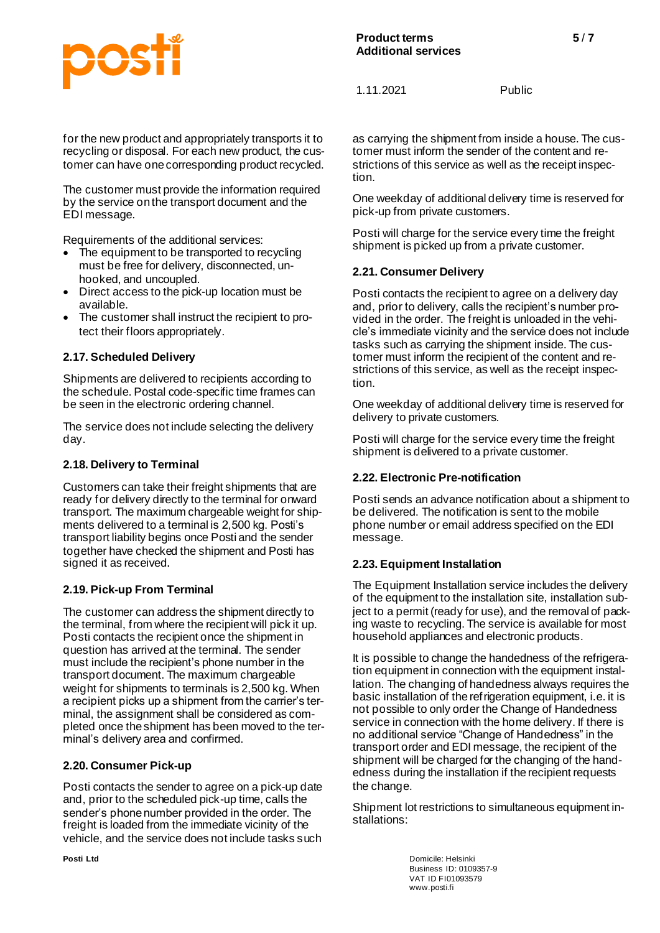# COS

1.11.2021 Public

for the new product and appropriately transports it to recycling or disposal. For each new product, the customer can have one corresponding product recycled.

The customer must provide the information required by the service on the transport document and the EDI message.

Requirements of the additional services:

- The equipment to be transported to recycling must be free for delivery, disconnected, unhooked, and uncoupled.
- Direct access to the pick-up location must be available.
- The customer shall instruct the recipient to protect their floors appropriately.

# **2.17. Scheduled Delivery**

Shipments are delivered to recipients according to the schedule. Postal code-specific time frames can be seen in the electronic ordering channel.

The service does not include selecting the delivery day.

#### **2.18. Delivery to Terminal**

Customers can take their freight shipments that are ready for delivery directly to the terminal for onward transport. The maximum chargeable weight for shipments delivered to a terminal is 2,500 kg. Posti's transport liability begins once Posti and the sender together have checked the shipment and Posti has signed it as received*.*

#### **2.19. Pick-up From Terminal**

The customer can address the shipment directly to the terminal, from where the recipient will pick it up. Posti contacts the recipient once the shipment in question has arrived at the terminal. The sender must include the recipient's phone number in the transport document. The maximum chargeable weight for shipments to terminals is 2,500 kg. When a recipient picks up a shipment from the carrier's terminal, the assignment shall be considered as completed once the shipment has been moved to the terminal's delivery area and confirmed.

#### **2.20. Consumer Pick-up**

Posti contacts the sender to agree on a pick-up date and, prior to the scheduled pick-up time, calls the sender's phone number provided in the order. The freight is loaded from the immediate vicinity of the vehicle, and the service does not include tasks such as carrying the shipment from inside a house. The customer must inform the sender of the content and restrictions of this service as well as the receipt inspection.

One weekday of additional delivery time is reserved for pick-up from private customers.

Posti will charge for the service every time the freight shipment is picked up from a private customer.

#### **2.21. Consumer Delivery**

Posti contacts the recipient to agree on a delivery day and, prior to delivery, calls the recipient's number provided in the order. The freight is unloaded in the vehicle's immediate vicinity and the service does not include tasks such as carrying the shipment inside. The customer must inform the recipient of the content and restrictions of this service, as well as the receipt inspection.

One weekday of additional delivery time is reserved for delivery to private customers.

Posti will charge for the service every time the freight shipment is delivered to a private customer.

#### **2.22. Electronic Pre-notification**

Posti sends an advance notification about a shipment to be delivered. The notification is sent to the mobile phone number or email address specified on the EDI message.

#### **2.23. Equipment Installation**

The Equipment Installation service includes the delivery of the equipment to the installation site, installation subject to a permit (ready for use), and the removal of packing waste to recycling. The service is available for most household appliances and electronic products.

It is possible to change the handedness of the refrigeration equipment in connection with the equipment installation. The changing of handedness always requires the basic installation of the refrigeration equipment, i.e. it is not possible to only order the Change of Handedness service in connection with the home delivery. If there is no additional service "Change of Handedness" in the transport order and EDI message, the recipient of the shipment will be charged for the changing of the handedness during the installation if the recipient requests the change.

Shipment lot restrictions to simultaneous equipment installations:

**Posti Ltd** Domicile: Helsinki Business ID: 0109357-9 VAT ID FI01093579 www.posti.fi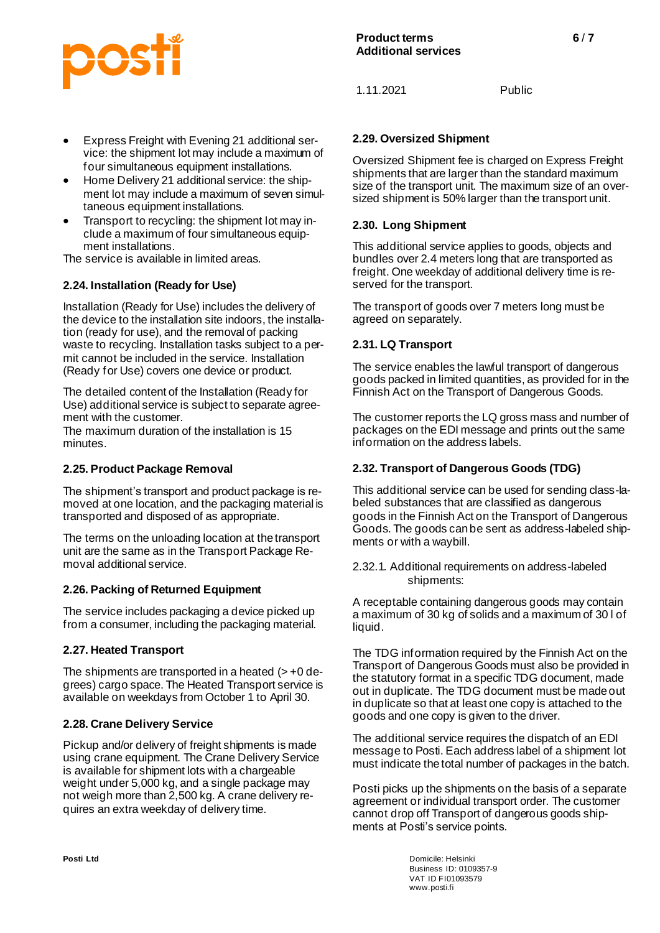

# **2.29. Oversized Shipment**

Oversized Shipment fee is charged on Express Freight shipments that are larger than the standard maximum size of the transport unit. The maximum size of an oversized shipment is 50% larger than the transport unit.

#### **2.30. Long Shipment**

This additional service applies to goods, objects and bundles over 2.4 meters long that are transported as freight. One weekday of additional delivery time is reserved for the transport.

The transport of goods over 7 meters long must be agreed on separately.

#### **2.31. LQ Transport**

The service enables the lawful transport of dangerous goods packed in limited quantities, as provided for in the Finnish Act on the Transport of Dangerous Goods.

The customer reports the LQ gross mass and number of packages on the EDI message and prints out the same information on the address labels.

#### **2.32. Transport of Dangerous Goods (TDG)**

This additional service can be used for sending class-labeled substances that are classified as dangerous goods in the Finnish Act on the Transport of Dangerous Goods. The goods can be sent as address-labeled shipments or with a waybill.

2.32.1. Additional requirements on address-labeled shipments:

A receptable containing dangerous goods may contain a maximum of 30 kg of solids and a maximum of 30 l of liquid.

The TDG information required by the Finnish Act on the Transport of Dangerous Goods must also be provided in the statutory format in a specific TDG document, made out in duplicate. The TDG document must be made out in duplicate so that at least one copy is attached to the goods and one copy is given to the driver.

The additional service requires the dispatch of an EDI message to Posti. Each address label of a shipment lot must indicate the total number of packages in the batch.

Posti picks up the shipments on the basis of a separate agreement or individual transport order. The customer cannot drop off Transport of dangerous goods shipments at Posti's service points.

**Posti Ltd** Domicile: Helsinki Business ID: 0109357-9 VAT ID FI01093579 www.posti.fi

#### • Express Freight with Evening 21 additional service: the shipment lot may include a maximum of four simultaneous equipment installations.

- Home Delivery 21 additional service: the shipment lot may include a maximum of seven simultaneous equipment installations.
- Transport to recycling: the shipment lot may include a maximum of four simultaneous equipment installations.

The service is available in limited areas.

# **2.24. Installation (Ready for Use)**

Installation (Ready for Use) includes the delivery of the device to the installation site indoors, the installation (ready for use), and the removal of packing waste to recycling. Installation tasks subject to a permit cannot be included in the service. Installation (Ready for Use) covers one device or product.

The detailed content of the Installation (Ready for Use) additional service is subject to separate agreement with the customer.

The maximum duration of the installation is 15 minutes.

#### **2.25. Product Package Removal**

The shipment's transport and product package is removed at one location, and the packaging material is transported and disposed of as appropriate.

The terms on the unloading location at the transport unit are the same as in the Transport Package Removal additional service.

#### **2.26. Packing of Returned Equipment**

The service includes packaging a device picked up from a consumer, including the packaging material.

#### **2.27. Heated Transport**

The shipments are transported in a heated  $(> +0$  degrees) cargo space. The Heated Transport service is available on weekdays from October 1 to April 30.

#### **2.28. Crane Delivery Service**

Pickup and/or delivery of freight shipments is made using crane equipment. The Crane Delivery Service is available for shipment lots with a chargeable weight under 5,000 kg, and a single package may not weigh more than 2,500 kg. A crane delivery requires an extra weekday of delivery time.